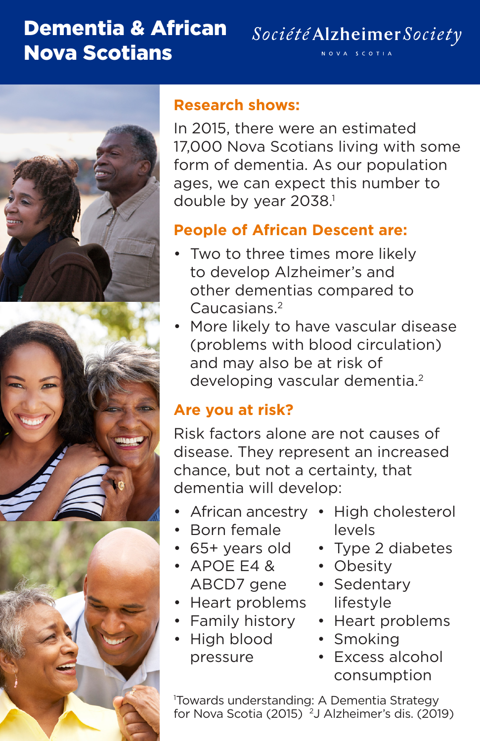## Dementia & African Nova Scotians



#### **Research shows:**

In 2015, there were an estimated 17,000 Nova Scotians living with some form of dementia. As our population ages, we can expect this number to double by year 2038.<sup>1</sup>

#### **People of African Descent are:**

- Two to three times more likely to develop Alzheimer's and other dementias compared to Caucasians.2
- More likely to have vascular disease (problems with blood circulation) and may also be at risk of developing vascular dementia.<sup>2</sup>

### **Are you at risk?**

Risk factors alone are not causes of disease. They represent an increased chance, but not a certainty, that dementia will develop:

- African ancestry High cholesterol
- Born female
- 65+ years old
- APOE E4 & ABCD7 gene
- Heart problems
- Family history
- High blood pressure
- levels
- Type 2 diabetes
- Obesity
- Sedentary lifestyle
- Heart problems
- Smoking
- Excess alcohol consumption

1 Towards understanding: A Dementia Strategy for Nova Scotia (2015)<sup>2</sup>J Alzheimer's dis. (2019)